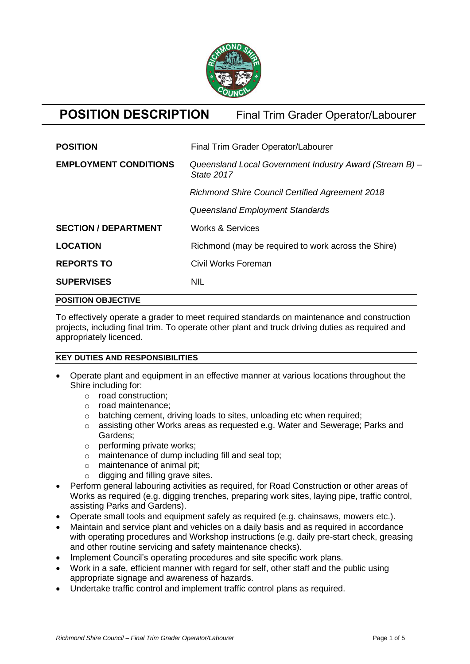

# **POSITION DESCRIPTION** Final Trim Grader Operator/Labourer

| <b>POSITION</b>              | Final Trim Grader Operator/Labourer                                          |
|------------------------------|------------------------------------------------------------------------------|
| <b>EMPLOYMENT CONDITIONS</b> | Queensland Local Government Industry Award (Stream B) -<br><b>State 2017</b> |
|                              | <b>Richmond Shire Council Certified Agreement 2018</b>                       |
|                              | Queensland Employment Standards                                              |
| <b>SECTION / DEPARTMENT</b>  | <b>Works &amp; Services</b>                                                  |
| <b>LOCATION</b>              | Richmond (may be required to work across the Shire)                          |
| <b>REPORTS TO</b>            | Civil Works Foreman                                                          |
| <b>SUPERVISES</b>            | <b>NIL</b>                                                                   |
| <b>POSITION OBJECTIVE</b>    |                                                                              |

To effectively operate a grader to meet required standards on maintenance and construction projects, including final trim. To operate other plant and truck driving duties as required and appropriately licenced.

#### **KEY DUTIES AND RESPONSIBILITIES**

- Operate plant and equipment in an effective manner at various locations throughout the Shire including for:
	- o road construction;
	- o road maintenance;
	- o batching cement, driving loads to sites, unloading etc when required;
	- o assisting other Works areas as requested e.g. Water and Sewerage; Parks and Gardens;
	- o performing private works;
	- o maintenance of dump including fill and seal top;
	- o maintenance of animal pit;
	- $\circ$  digging and filling grave sites.
- Perform general labouring activities as required, for Road Construction or other areas of Works as required (e.g. digging trenches, preparing work sites, laying pipe, traffic control, assisting Parks and Gardens).
- Operate small tools and equipment safely as required (e.g. chainsaws, mowers etc.).
- Maintain and service plant and vehicles on a daily basis and as required in accordance with operating procedures and Workshop instructions (e.g. daily pre-start check, greasing and other routine servicing and safety maintenance checks).
- Implement Council's operating procedures and site specific work plans.
- Work in a safe, efficient manner with regard for self, other staff and the public using appropriate signage and awareness of hazards.
- Undertake traffic control and implement traffic control plans as required.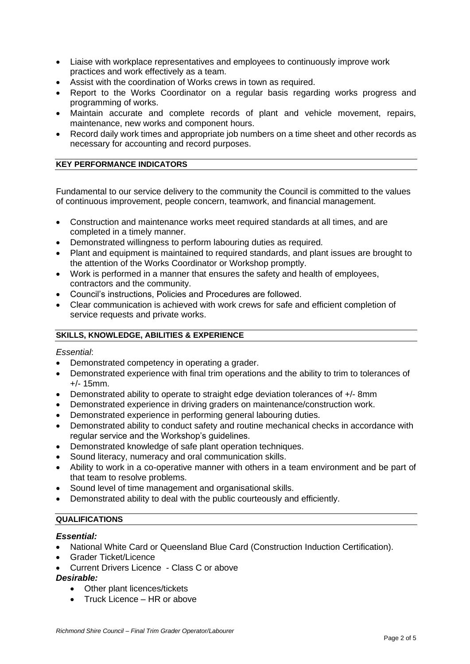- Liaise with workplace representatives and employees to continuously improve work practices and work effectively as a team.
- Assist with the coordination of Works crews in town as required.
- Report to the Works Coordinator on a regular basis regarding works progress and programming of works.
- Maintain accurate and complete records of plant and vehicle movement, repairs, maintenance, new works and component hours.
- Record daily work times and appropriate job numbers on a time sheet and other records as necessary for accounting and record purposes.

## **KEY PERFORMANCE INDICATORS**

Fundamental to our service delivery to the community the Council is committed to the values of continuous improvement, people concern, teamwork, and financial management.

- Construction and maintenance works meet required standards at all times, and are completed in a timely manner.
- Demonstrated willingness to perform labouring duties as required.
- Plant and equipment is maintained to required standards, and plant issues are brought to the attention of the Works Coordinator or Workshop promptly.
- Work is performed in a manner that ensures the safety and health of employees, contractors and the community.
- Council's instructions, Policies and Procedures are followed.
- Clear communication is achieved with work crews for safe and efficient completion of service requests and private works.

# **SKILLS, KNOWLEDGE, ABILITIES & EXPERIENCE**

#### *Essential*:

- Demonstrated competency in operating a grader.
- Demonstrated experience with final trim operations and the ability to trim to tolerances of +/- 15mm.
- Demonstrated ability to operate to straight edge deviation tolerances of +/- 8mm
- Demonstrated experience in driving graders on maintenance/construction work.
- Demonstrated experience in performing general labouring duties.
- Demonstrated ability to conduct safety and routine mechanical checks in accordance with regular service and the Workshop's guidelines.
- Demonstrated knowledge of safe plant operation techniques.
- Sound literacy, numeracy and oral communication skills.
- Ability to work in a co-operative manner with others in a team environment and be part of that team to resolve problems.
- Sound level of time management and organisational skills.
- Demonstrated ability to deal with the public courteously and efficiently.

#### **QUALIFICATIONS**

#### *Essential:*

- National White Card or Queensland Blue Card (Construction Induction Certification).
- Grader Ticket/Licence
- Current Drivers Licence Class C or above

#### *Desirable:*

- Other plant licences/tickets
- Truck Licence HR or above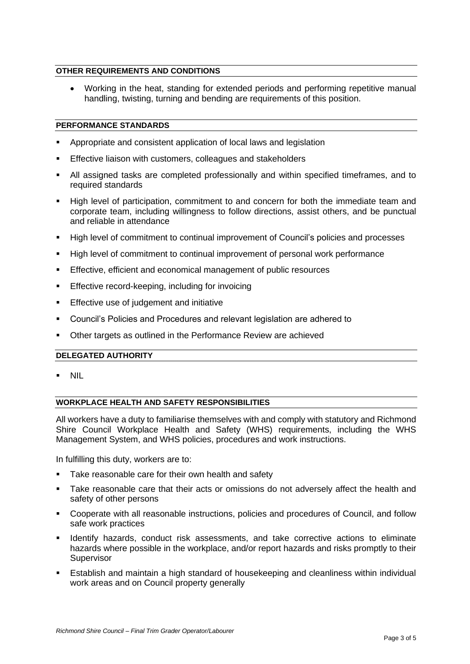## **OTHER REQUIREMENTS AND CONDITIONS**

• Working in the heat, standing for extended periods and performing repetitive manual handling, twisting, turning and bending are requirements of this position.

#### **PERFORMANCE STANDARDS**

- Appropriate and consistent application of local laws and legislation
- **Effective liaison with customers, colleagues and stakeholders**
- All assigned tasks are completed professionally and within specified timeframes, and to required standards
- High level of participation, commitment to and concern for both the immediate team and corporate team, including willingness to follow directions, assist others, and be punctual and reliable in attendance
- High level of commitment to continual improvement of Council's policies and processes
- High level of commitment to continual improvement of personal work performance
- Effective, efficient and economical management of public resources
- **Effective record-keeping, including for invoicing**
- Effective use of judgement and initiative
- Council's Policies and Procedures and relevant legislation are adhered to
- Other targets as outlined in the Performance Review are achieved

#### **DELEGATED AUTHORITY**

▪ NIL

# **WORKPLACE HEALTH AND SAFETY RESPONSIBILITIES**

All workers have a duty to familiarise themselves with and comply with statutory and Richmond Shire Council Workplace Health and Safety (WHS) requirements, including the WHS Management System, and WHS policies, procedures and work instructions.

In fulfilling this duty, workers are to:

- Take reasonable care for their own health and safety
- Take reasonable care that their acts or omissions do not adversely affect the health and safety of other persons
- Cooperate with all reasonable instructions, policies and procedures of Council, and follow safe work practices
- Identify hazards, conduct risk assessments, and take corrective actions to eliminate hazards where possible in the workplace, and/or report hazards and risks promptly to their Supervisor
- **Establish and maintain a high standard of housekeeping and cleanliness within individual** work areas and on Council property generally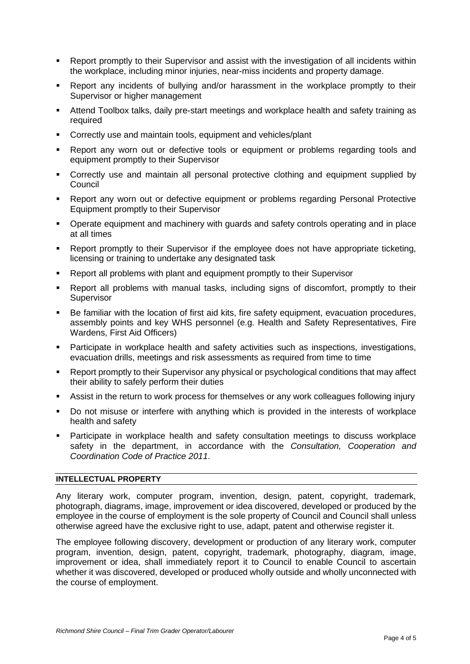- Report promptly to their Supervisor and assist with the investigation of all incidents within the workplace, including minor injuries, near-miss incidents and property damage.
- **•** Report any incidents of bullying and/or harassment in the workplace promptly to their Supervisor or higher management
- Attend Toolbox talks, daily pre-start meetings and workplace health and safety training as required
- Correctly use and maintain tools, equipment and vehicles/plant
- Report any worn out or defective tools or equipment or problems regarding tools and equipment promptly to their Supervisor
- Correctly use and maintain all personal protective clothing and equipment supplied by Council
- **Report any worn out or defective equipment or problems regarding Personal Protective** Equipment promptly to their Supervisor
- Operate equipment and machinery with guards and safety controls operating and in place at all times
- Report promptly to their Supervisor if the employee does not have appropriate ticketing, licensing or training to undertake any designated task
- Report all problems with plant and equipment promptly to their Supervisor
- Report all problems with manual tasks, including signs of discomfort, promptly to their **Supervisor**
- Be familiar with the location of first aid kits, fire safety equipment, evacuation procedures, assembly points and key WHS personnel (e.g. Health and Safety Representatives, Fire Wardens, First Aid Officers)
- **EXECT** Participate in workplace health and safety activities such as inspections, investigations, evacuation drills, meetings and risk assessments as required from time to time
- Report promptly to their Supervisor any physical or psychological conditions that may affect their ability to safely perform their duties
- Assist in the return to work process for themselves or any work colleagues following injury
- Do not misuse or interfere with anything which is provided in the interests of workplace health and safety
- Participate in workplace health and safety consultation meetings to discuss workplace safety in the department, in accordance with the *Consultation, Cooperation and Coordination Code of Practice 2011*.

# **INTELLECTUAL PROPERTY**

Any literary work, computer program, invention, design, patent, copyright, trademark, photograph, diagrams, image, improvement or idea discovered, developed or produced by the employee in the course of employment is the sole property of Council and Council shall unless otherwise agreed have the exclusive right to use, adapt, patent and otherwise register it.

The employee following discovery, development or production of any literary work, computer program, invention, design, patent, copyright, trademark, photography, diagram, image, improvement or idea, shall immediately report it to Council to enable Council to ascertain whether it was discovered, developed or produced wholly outside and wholly unconnected with the course of employment.